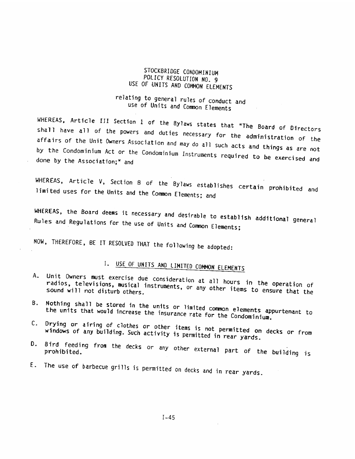#### STOCKBRIDGE CONDOMINIUM POLICY RESOLUTION NO. 9 USE OF UNITS AND COMMON ELEMENTS

### relating to general rules of conduct and use of Units and Common Elements

WHEREAS, Article III Section 1 of the Bylaws states that "The Board of Directors shall have all of the powers and duties necessary for the administration of the affairs of the Unit Owners Association and may do all such acts and things as are not by the Condominium Act or the Condominium Instruments required to be exercised and done by the Association;" and

WHEREAS, Article V, Section 8 of the Bylaws establishes certain prohibited and limited uses for the Units and the Common Elements; and

WHEREAS, the Board deems it necessary and desirable to establish additional general Rules and Regulations for the use of Units and Common Elements;

NOW, THEREFORE, BE IT RESOLVED THAT the following be adopted:

# I. USE OF UNITS AND LIMITED COMMON ELEMENTS

- Unit Owners must exercise due consideration at all hours in the operation of  $A_{\sim}$ radios, televisions, musical instruments, or any other items to ensure that the
- Nothing shall be stored in the units or limited common elements appurtenant to B. the units that would increase the insurance rate for the Condominium.
- C. Drying or airing of clothes or other items is not permitted on decks or from windows of any building. Such activity is permitted in rear yards.
- D. Bird feeding from the decks or any other external part of the building is
- E. The use of barbecue grills is permitted on decks and in rear yards.

 $I - 45$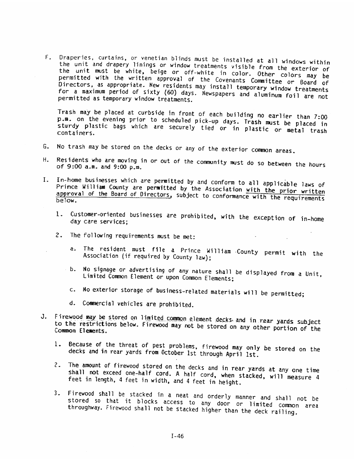F, Draperies, curtains, or venetian blinds must be installed at all windows wthjn the unit and drapery linings or window treatments visible from the exterior of permitted with the written the unit must be white, beige or off-white in color. Other colors may be<br>permitted with the written approval of the Covenante Cousting colors may be Directors, as appropriate. New permitted with the written approval of the Covenants Committee or Board of<br>Directors, as appropriate. New residents may install temporary window treatments<br>for a maximum period of sixty (60) days. Newspapers and aluminum f permitted as temporary window treatments. for a maximum period of sixty (60) days. Newspapers and aluminum foil are not F. Draperies, curtains, or venetian blinds must be installed at all windows within<br>the unit and drapery limings or window treatments visible frall windows within<br>the unit must be white point of the coverants visible frall

p.m. on the evening prior Trash may be placed at curbside in front of each building no earlier than 7:00 sturdy plastic bags p.m. on the evening prior to scheduled pick-up days. Trash must be placed in<br>sturdy plastic bags which are securely tied or in plastic or metal trash<br>containers.

- G. No trash may be stored on the decks or any of the exterior common areas.
- H. Residents who are moving in or out of the community must do so between the hours<br>of 9:00 a.m. and 9:00 p.m. of 9:00 a.m. and 9:00 p.m.
- I. In-home businesses which are permitted by and conform to all applicable laws of Prince William County approval of the Prince William County are permitted by the Association with the prior written<br>approval of the Board of Directors, subject to conformance with the requirements<br>below.
	- 1. Customer-oriented businesses are prohibited, with the exception of in-home<br>day care services; day care services:
	- 2. The Following requirements must be met:
		- a. The resident must file a Prince William County permit with the<br>Association (if required by County law); Association {if
		- b. No signage or advertising of any nature shall be displayed from a Unit,<br>Limited Common Element or upon Common Elements:
		- c. No exterior storage of business-related materials will be permitted;
		- d. Commercial vehicles are prohibited.
- J. Firewood may be stored on limited common element decks and in rear yards subject Common Elements. to the restrictions below. Firewood may not be stored on any other portion of the
	- 1. Because of the threat of pest problems, firewood may only be stored on the decks and in rear yards from October 1st through April 1st.
	- 2. The shall The amount of firewood stored on the decks and in rear yards at any one time<br>shall not exceed one-half cord. A half cord, when stacked, will measure 4<br>feet in length, 4 feet in width, and 4 feet in height.
- 3. Firewood shall be stacked in <sup>a</sup> neat and orderly manner and shall not be stored so that it blocks access to any door or limited common area<br>stored so that it blocks access to any door or limited common area<br>throughway. Firewood shall not be stacked higher than the deck railing. throughway. Firewood shall not be stacked higher than the deck railing. J. Firewood may be stored on limited common element decks and in rear yards subject<br>to the restrictions below. Firewood may not be stored on any other portion of the<br>Common Elements.<br>1. Because of the threat of pest proble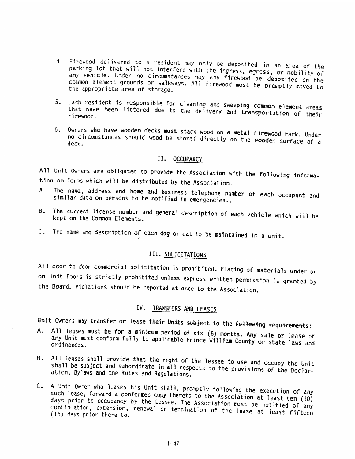- 4. Firewood delivered to <sup>a</sup> resident may on'Jy be deposited in an area of the parking lot that will parking lot that will not interfere with the ingress, egress, or mobility of<br>any vehicle. Under no circumstances may any firewood be deposited on the any venicle. Under no circumstances may any firewood be deposited on the<br>common element grounds or walkways. All firewood must be promptly moved to<br>the appropriate area of storage. the appropriate area of storage.
- 5. Each resident that have been Each resident is responsible for cleaning and sweeping common element areas<br>that have been littered due to the deIivery and transportation of their<br>firewood.
- 6. Owners who have wooden decks must stack wood on a metal firewood rack. Under deck, no circumstances should wood be stored directly on the wooden surface of a

#### II. OCCUPANCY

All Unit Owners are obligated to provide the Association with the following information on forms which will be distributed by the Association.

- A. The name, address and home and business telephone number of each occupant and<br>similar data on persons to be notified in emergencies.. similar data on persons to be notified in emergencies..
- B. The current license number and general description of each vehicle which will be kept on the Common Elements. kept on the Common Elements.
- C. The name and description of each dog or cat to be maintained in a unit.

#### III. SOLICITATtONS

All door-to-door commercial solicitation is prohibited, Placing of materials under or on Unit Doors is strictly prohibited unless express written permission is granted by the Board. Violations should be reported at once to the Association.

#### IV. TRANSFERS AND LEASES

Unit Owners may transfer or lease their Units subject to the following requirements:

- A. All leases must be for a minimum period of six (6) months. Any sale or lease of<br>any Unit must conform fully to anglicable Prince William C. Any sale or lease of any Unit must conform fully to applicable Prince William County or state laws and<br>ordinances. ordinances.
- B. All leases shall provide that the right of the lessee to use and occupy the Unit shall leases shall provide that the right of the lessee to use and occupy the Unit<br>1 be subject and subordinate in all respects to the provisions of the Declar-<br>n, Bylaws and the Rules and Regulations.
- C. <sup>A</sup> Unit Owner who leases his Unit shall, promptly following the execution of any days prior such lease, forward a conformed copy thereto to the Association at least ten (10) such lease, forward a conformed copy thereto to the Association at least ten (10)<br>days prior to occupancy by the Lessee. The Association must be notified of any<br>continuation, extension, renewal or termination of the lease (15) days prior there extension, renewal or termination of the lease at least fifteen 1. Firewood delivered to a resident may only be elegated in an oraz of thus continued the point of the street of the street of the street of the street of the street of the street of the street of the street of the street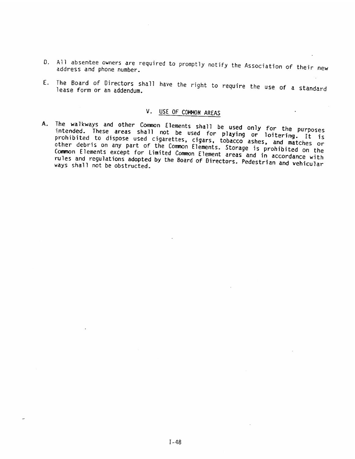- 0. AR absentee owners are required to promptly notify the Association of their new address and phone number.
- E. The lease Board form of D. All absentee owners are required to promptly notify the Association of their new<br>address and phone number.<br>E. The Board of Directors shall have the right to require the use of a standard<br>lease form or an addendum.

## V. USE OF COMMON AREAS

A. The intended. walkways ys and other Common Elements shall be used only for the purposes<br>These areas shall not be used for playing on laiters, which prohibited to dispose areas used shall I not be used for playing or loitering. It is<br>cigarettes, cigars, tobacco ashes, and matches or promibited to dispose used cigarettes, cigars, tobacco ashes, and matches or<br>other debris on any part of the Common Elements, Storage is probibited as the Common Elements except for Limited Common Element areas and in accordance with<br>rules and regulations adopted by the Board of Directors, Bodest : the Common Elements. Storage is prohibited on the rules and regulations adopted by the Board of Birectors. Pedestrian and vehicular<br>ways shall not be obstructed. ways shall not be obstructed. A. The walkways and other Common [laments aked] is used only for the purposes<br>probablical These areas shall not be used only for the purposes<br>probablical to dispose used cigarettes, eigars, pobaring are obtiering. It is<br>cl